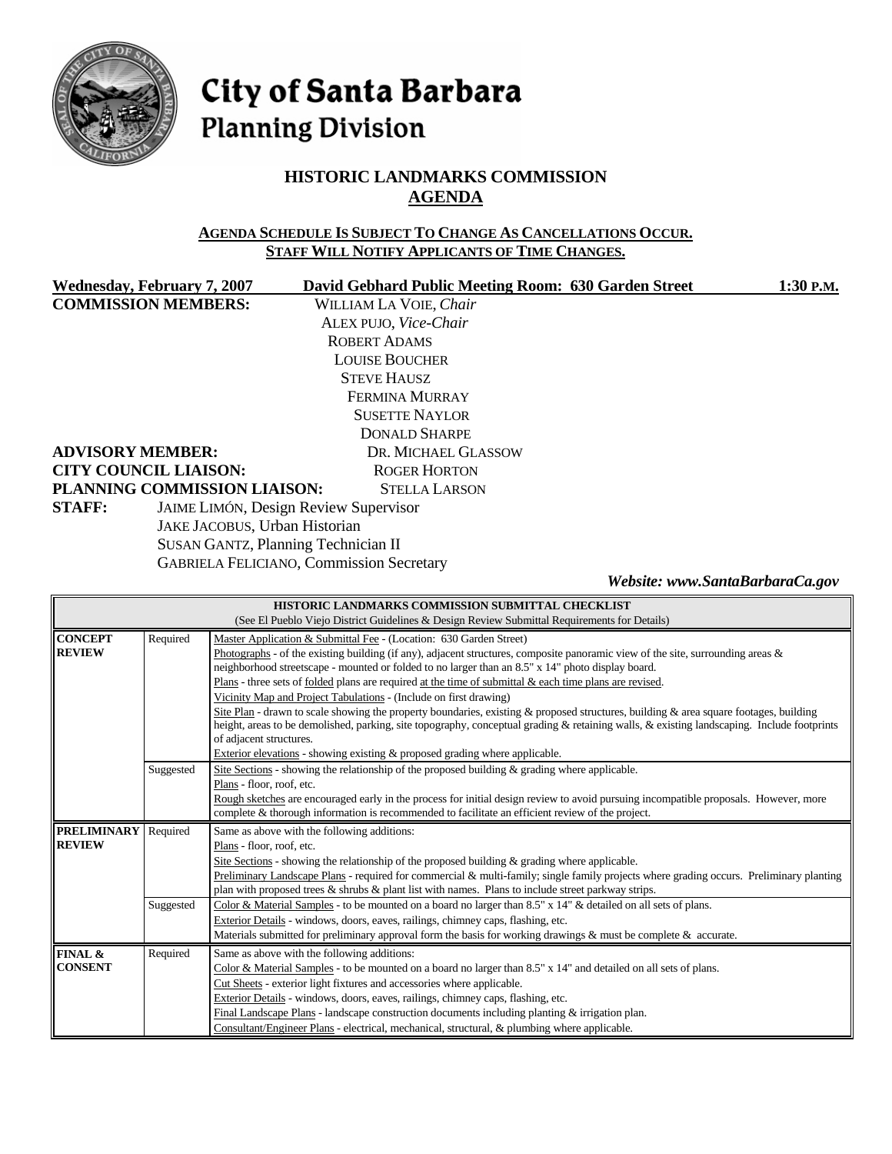

# City of Santa Barbara **Planning Division**

# **HISTORIC LANDMARKS COMMISSION AGENDA**

#### **AGENDA SCHEDULE IS SUBJECT TO CHANGE AS CANCELLATIONS OCCUR. STAFF WILL NOTIFY APPLICANTS OF TIME CHANGES.**

|               | Wednesday, February 7, 2007   | David Gebhard Public Meeting Room: 630 Garden Street | 1:30 P.M.                       |
|---------------|-------------------------------|------------------------------------------------------|---------------------------------|
|               | <b>COMMISSION MEMBERS:</b>    | WILLIAM LA VOIE, Chair                               |                                 |
|               |                               | ALEX PUJO, Vice-Chair                                |                                 |
|               |                               | <b>ROBERT ADAMS</b>                                  |                                 |
|               |                               | <b>LOUISE BOUCHER</b>                                |                                 |
|               |                               | <b>STEVE HAUSZ</b>                                   |                                 |
|               |                               | <b>FERMINA MURRAY</b>                                |                                 |
|               |                               | <b>SUSETTE NAYLOR</b>                                |                                 |
|               |                               | <b>DONALD SHARPE</b>                                 |                                 |
|               | <b>ADVISORY MEMBER:</b>       | DR. MICHAEL GLASSOW                                  |                                 |
|               | <b>CITY COUNCIL LIAISON:</b>  | <b>ROGER HORTON</b>                                  |                                 |
|               | PLANNING COMMISSION LIAISON:  | <b>STELLA LARSON</b>                                 |                                 |
| <b>STAFF:</b> |                               | JAIME LIMÓN, Design Review Supervisor                |                                 |
|               | JAKE JACOBUS, Urban Historian |                                                      |                                 |
|               |                               | <b>SUSAN GANTZ, Planning Technician II</b>           |                                 |
|               |                               | <b>GABRIELA FELICIANO, Commission Secretary</b>      |                                 |
|               |                               |                                                      | Website: www.SantaBarbaraCa.gov |

| HISTORIC LANDMARKS COMMISSION SUBMITTAL CHECKLIST |                                                                                                    |                                                                                                                                                                                                                                                                                                                |  |  |  |
|---------------------------------------------------|----------------------------------------------------------------------------------------------------|----------------------------------------------------------------------------------------------------------------------------------------------------------------------------------------------------------------------------------------------------------------------------------------------------------------|--|--|--|
|                                                   | (See El Pueblo Viejo District Guidelines & Design Review Submittal Requirements for Details)       |                                                                                                                                                                                                                                                                                                                |  |  |  |
| <b>CONCEPT</b>                                    | Required                                                                                           | Master Application & Submittal Fee - (Location: 630 Garden Street)                                                                                                                                                                                                                                             |  |  |  |
| <b>REVIEW</b>                                     |                                                                                                    | Photographs - of the existing building (if any), adjacent structures, composite panoramic view of the site, surrounding areas $\&$<br>neighborhood streetscape - mounted or folded to no larger than an 8.5" x 14" photo display board.                                                                        |  |  |  |
|                                                   |                                                                                                    | Plans - three sets of <u>folded</u> plans are required at the time of submittal $\&$ each time plans are revised.                                                                                                                                                                                              |  |  |  |
|                                                   |                                                                                                    | Vicinity Map and Project Tabulations - (Include on first drawing)                                                                                                                                                                                                                                              |  |  |  |
|                                                   |                                                                                                    | Site Plan - drawn to scale showing the property boundaries, existing & proposed structures, building & area square footages, building<br>height, areas to be demolished, parking, site topography, conceptual grading & retaining walls, & existing landscaping. Include footprints<br>of adjacent structures. |  |  |  |
|                                                   |                                                                                                    | Exterior elevations - showing existing & proposed grading where applicable.                                                                                                                                                                                                                                    |  |  |  |
|                                                   | Suggested                                                                                          | Site Sections - showing the relationship of the proposed building $\&$ grading where applicable.                                                                                                                                                                                                               |  |  |  |
|                                                   |                                                                                                    | Plans - floor, roof, etc.                                                                                                                                                                                                                                                                                      |  |  |  |
|                                                   |                                                                                                    | Rough sketches are encouraged early in the process for initial design review to avoid pursuing incompatible proposals. However, more                                                                                                                                                                           |  |  |  |
|                                                   |                                                                                                    | complete & thorough information is recommended to facilitate an efficient review of the project.                                                                                                                                                                                                               |  |  |  |
| <b>PRELIMINARY</b>                                | Required                                                                                           | Same as above with the following additions:                                                                                                                                                                                                                                                                    |  |  |  |
| <b>REVIEW</b>                                     |                                                                                                    | Plans - floor, roof, etc.                                                                                                                                                                                                                                                                                      |  |  |  |
|                                                   |                                                                                                    | Site Sections - showing the relationship of the proposed building $\&$ grading where applicable.                                                                                                                                                                                                               |  |  |  |
|                                                   |                                                                                                    | Preliminary Landscape Plans - required for commercial & multi-family; single family projects where grading occurs. Preliminary planting                                                                                                                                                                        |  |  |  |
|                                                   | plan with proposed trees & shrubs & plant list with names. Plans to include street parkway strips. |                                                                                                                                                                                                                                                                                                                |  |  |  |
|                                                   | Suggested                                                                                          | Color & Material Samples - to be mounted on a board no larger than 8.5" x 14" & detailed on all sets of plans.                                                                                                                                                                                                 |  |  |  |
|                                                   |                                                                                                    | Exterior Details - windows, doors, eaves, railings, chimney caps, flashing, etc.                                                                                                                                                                                                                               |  |  |  |
|                                                   |                                                                                                    | Materials submitted for preliminary approval form the basis for working drawings & must be complete & accurate.                                                                                                                                                                                                |  |  |  |
| FINAL &                                           | Required                                                                                           | Same as above with the following additions:                                                                                                                                                                                                                                                                    |  |  |  |
| <b>CONSENT</b>                                    |                                                                                                    | Color & Material Samples - to be mounted on a board no larger than 8.5" x 14" and detailed on all sets of plans.                                                                                                                                                                                               |  |  |  |
|                                                   |                                                                                                    | Cut Sheets - exterior light fixtures and accessories where applicable.                                                                                                                                                                                                                                         |  |  |  |
|                                                   |                                                                                                    | Exterior Details - windows, doors, eaves, railings, chimney caps, flashing, etc.                                                                                                                                                                                                                               |  |  |  |
|                                                   |                                                                                                    | Final Landscape Plans - landscape construction documents including planting $&$ irrigation plan.<br>Consultant/Engineer Plans - electrical, mechanical, structural, & plumbing where applicable.                                                                                                               |  |  |  |
|                                                   |                                                                                                    |                                                                                                                                                                                                                                                                                                                |  |  |  |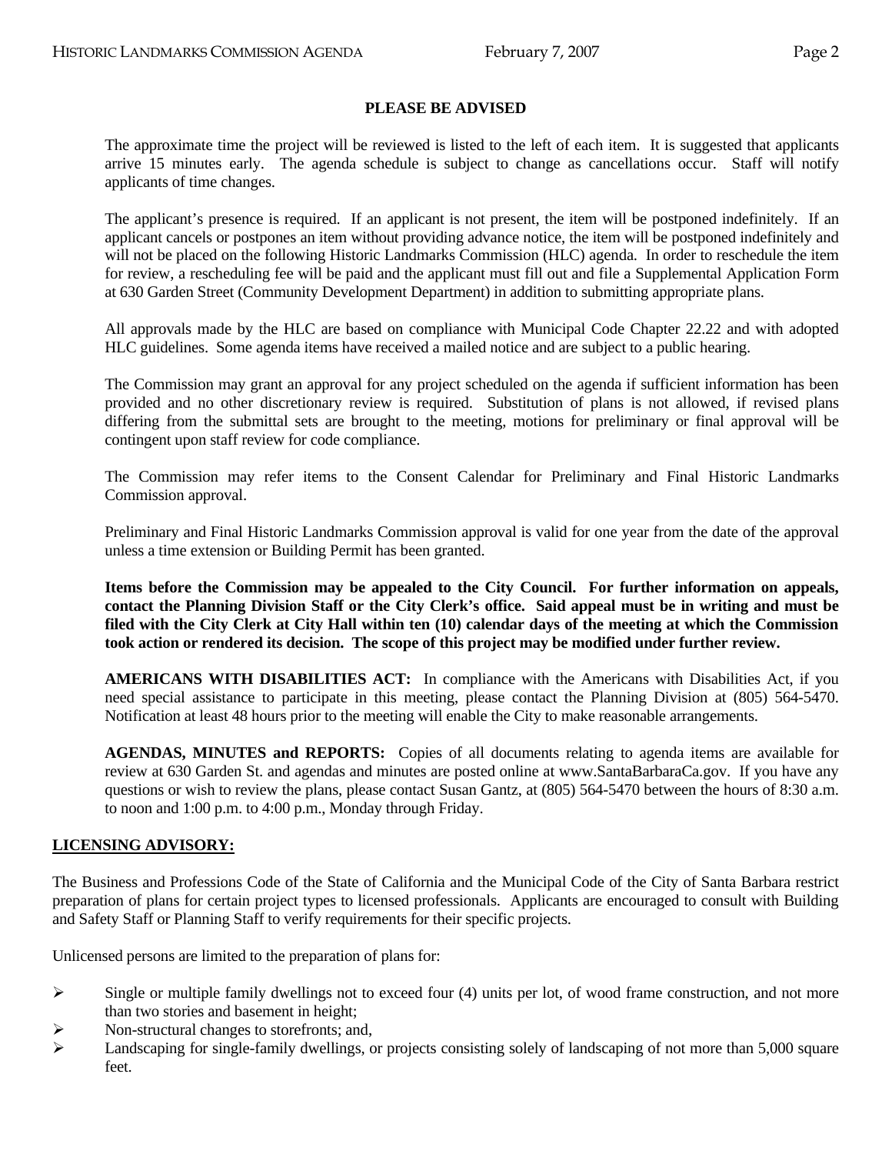#### **PLEASE BE ADVISED**

 The approximate time the project will be reviewed is listed to the left of each item. It is suggested that applicants arrive 15 minutes early. The agenda schedule is subject to change as cancellations occur. Staff will notify applicants of time changes.

 The applicant's presence is required. If an applicant is not present, the item will be postponed indefinitely. If an applicant cancels or postpones an item without providing advance notice, the item will be postponed indefinitely and will not be placed on the following Historic Landmarks Commission (HLC) agenda. In order to reschedule the item for review, a rescheduling fee will be paid and the applicant must fill out and file a Supplemental Application Form at 630 Garden Street (Community Development Department) in addition to submitting appropriate plans.

 All approvals made by the HLC are based on compliance with Municipal Code Chapter 22.22 and with adopted HLC guidelines. Some agenda items have received a mailed notice and are subject to a public hearing.

 The Commission may grant an approval for any project scheduled on the agenda if sufficient information has been provided and no other discretionary review is required. Substitution of plans is not allowed, if revised plans differing from the submittal sets are brought to the meeting, motions for preliminary or final approval will be contingent upon staff review for code compliance.

 The Commission may refer items to the Consent Calendar for Preliminary and Final Historic Landmarks Commission approval.

 Preliminary and Final Historic Landmarks Commission approval is valid for one year from the date of the approval unless a time extension or Building Permit has been granted.

**Items before the Commission may be appealed to the City Council. For further information on appeals, contact the Planning Division Staff or the City Clerk's office. Said appeal must be in writing and must be filed with the City Clerk at City Hall within ten (10) calendar days of the meeting at which the Commission took action or rendered its decision. The scope of this project may be modified under further review.** 

 **AMERICANS WITH DISABILITIES ACT:** In compliance with the Americans with Disabilities Act, if you need special assistance to participate in this meeting, please contact the Planning Division at (805) 564-5470. Notification at least 48 hours prior to the meeting will enable the City to make reasonable arrangements.

 **AGENDAS, MINUTES and REPORTS:** Copies of all documents relating to agenda items are available for review at 630 Garden St. and agendas and minutes are posted online at [www.SantaBarbaraCa.gov.](http://www.santabarbaraca.gov/) If you have any questions or wish to review the plans, please contact Susan Gantz, at (805) 564-5470 between the hours of 8:30 a.m. to noon and 1:00 p.m. to 4:00 p.m., Monday through Friday.

#### **LICENSING ADVISORY:**

The Business and Professions Code of the State of California and the Municipal Code of the City of Santa Barbara restrict preparation of plans for certain project types to licensed professionals. Applicants are encouraged to consult with Building and Safety Staff or Planning Staff to verify requirements for their specific projects.

Unlicensed persons are limited to the preparation of plans for:

- $\triangleright$  Single or multiple family dwellings not to exceed four (4) units per lot, of wood frame construction, and not more than two stories and basement in height;
- $\triangleright$  Non-structural changes to storefronts; and,
- $\blacktriangleright$  Landscaping for single-family dwellings, or projects consisting solely of landscaping of not more than 5,000 square feet.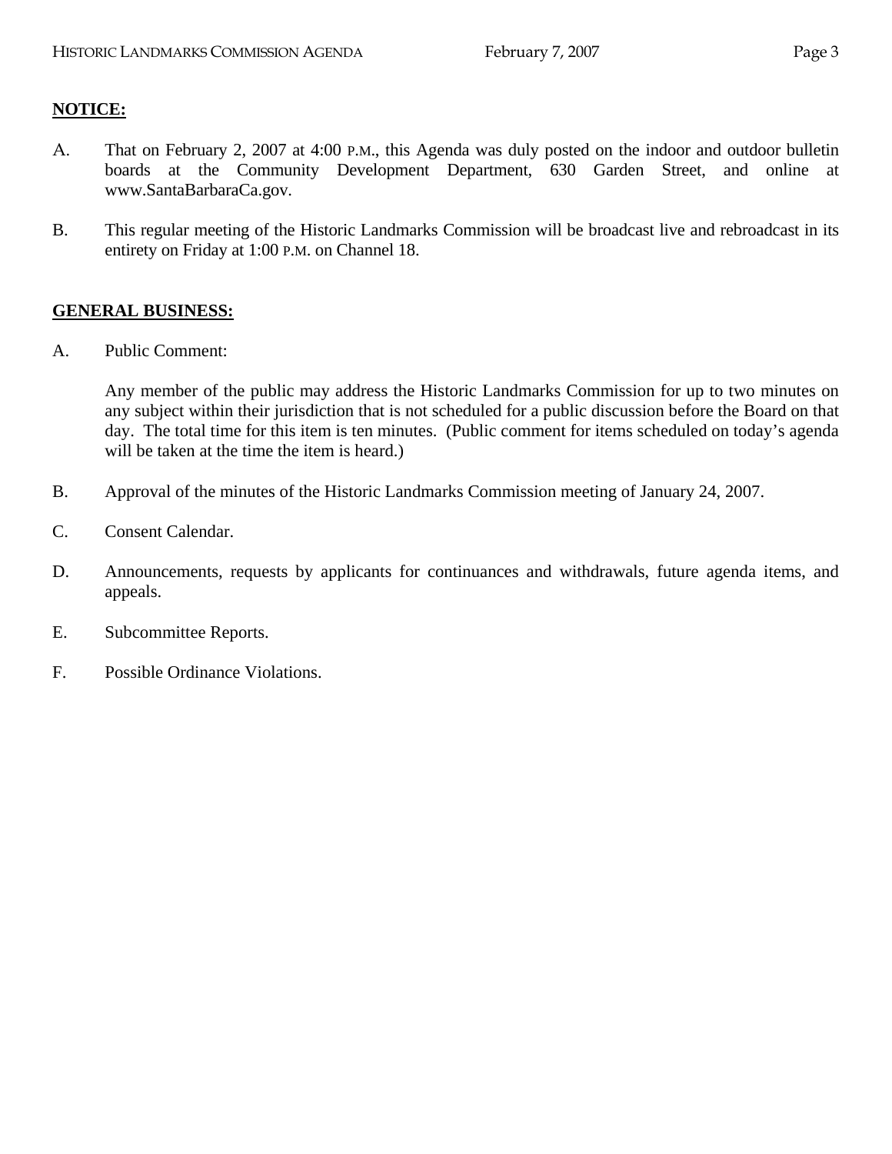## **NOTICE:**

- A. That on February 2, 2007 at 4:00 P.M., this Agenda was duly posted on the indoor and outdoor bulletin boards at the Community Development Department, 630 Garden Street, and online at www.SantaBarbaraCa.gov.
- B. This regular meeting of the Historic Landmarks Commission will be broadcast live and rebroadcast in its entirety on Friday at 1:00 P.M. on Channel 18.

## **GENERAL BUSINESS:**

A. Public Comment:

Any member of the public may address the Historic Landmarks Commission for up to two minutes on any subject within their jurisdiction that is not scheduled for a public discussion before the Board on that day. The total time for this item is ten minutes. (Public comment for items scheduled on today's agenda will be taken at the time the item is heard.)

- B. Approval of the minutes of the Historic Landmarks Commission meeting of January 24, 2007.
- C. Consent Calendar.
- D. Announcements, requests by applicants for continuances and withdrawals, future agenda items, and appeals.
- E. Subcommittee Reports.
- F. Possible Ordinance Violations.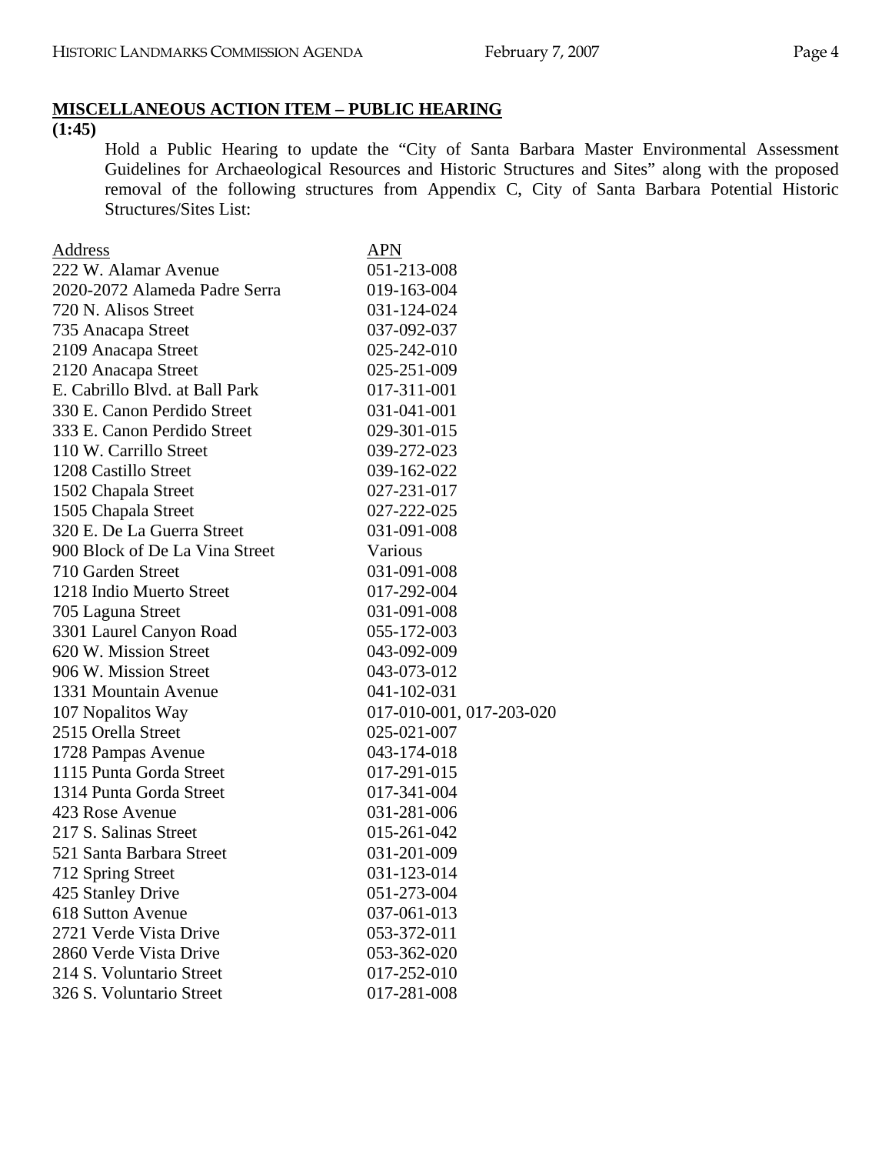# **MISCELLANEOUS ACTION ITEM – PUBLIC HEARING**

**(1:45)** 

Hold a Public Hearing to update the "City of Santa Barbara Master Environmental Assessment Guidelines for Archaeological Resources and Historic Structures and Sites" along with the proposed removal of the following structures from Appendix C, City of Santa Barbara Potential Historic Structures/Sites List:

| <b>Address</b>                 | APN                      |
|--------------------------------|--------------------------|
| 222 W. Alamar Avenue           | 051-213-008              |
| 2020-2072 Alameda Padre Serra  | 019-163-004              |
| 720 N. Alisos Street           | 031-124-024              |
| 735 Anacapa Street             | 037-092-037              |
| 2109 Anacapa Street            | 025-242-010              |
| 2120 Anacapa Street            | 025-251-009              |
| E. Cabrillo Blvd. at Ball Park | 017-311-001              |
| 330 E. Canon Perdido Street    | 031-041-001              |
| 333 E. Canon Perdido Street    | 029-301-015              |
| 110 W. Carrillo Street         | 039-272-023              |
| 1208 Castillo Street           | 039-162-022              |
| 1502 Chapala Street            | 027-231-017              |
| 1505 Chapala Street            | 027-222-025              |
| 320 E. De La Guerra Street     | 031-091-008              |
| 900 Block of De La Vina Street | Various                  |
| 710 Garden Street              | 031-091-008              |
| 1218 Indio Muerto Street       | 017-292-004              |
| 705 Laguna Street              | 031-091-008              |
| 3301 Laurel Canyon Road        | 055-172-003              |
| 620 W. Mission Street          | 043-092-009              |
| 906 W. Mission Street          | 043-073-012              |
| 1331 Mountain Avenue           | 041-102-031              |
| 107 Nopalitos Way              | 017-010-001, 017-203-020 |
| 2515 Orella Street             | 025-021-007              |
| 1728 Pampas Avenue             | 043-174-018              |
| 1115 Punta Gorda Street        | 017-291-015              |
| 1314 Punta Gorda Street        | 017-341-004              |
| 423 Rose Avenue                | 031-281-006              |
| 217 S. Salinas Street          | 015-261-042              |
| 521 Santa Barbara Street       | 031-201-009              |
| 712 Spring Street              | 031-123-014              |
| 425 Stanley Drive              | 051-273-004              |
| 618 Sutton Avenue              | 037-061-013              |
| 2721 Verde Vista Drive         | 053-372-011              |
| 2860 Verde Vista Drive         | 053-362-020              |
| 214 S. Voluntario Street       | 017-252-010              |
| 326 S. Voluntario Street       | 017-281-008              |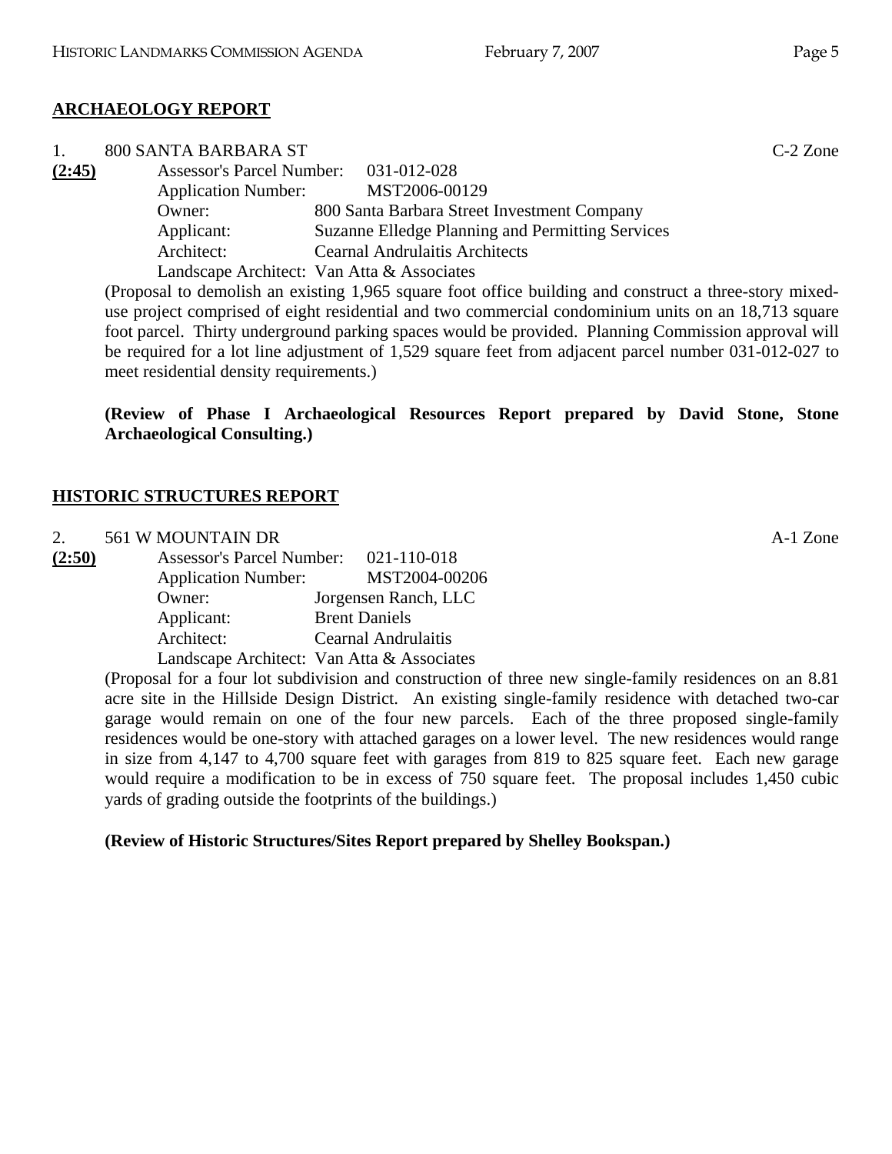# **ARCHAEOLOGY REPORT**

|        | 800 SANTA BARBARA ST                  |                                                  | $C-2$ Zone |
|--------|---------------------------------------|--------------------------------------------------|------------|
| (2:45) | Assessor's Parcel Number: 031-012-028 |                                                  |            |
|        | <b>Application Number:</b>            | MST2006-00129                                    |            |
|        | Owner:                                | 800 Santa Barbara Street Investment Company      |            |
|        | Applicant:                            | Suzanne Elledge Planning and Permitting Services |            |
|        | Architect:                            | <b>Cearnal Andrulaitis Architects</b>            |            |
|        |                                       | Landscape Architect: Van Atta & Associates       |            |

(Proposal to demolish an existing 1,965 square foot office building and construct a three-story mixeduse project comprised of eight residential and two commercial condominium units on an 18,713 square foot parcel. Thirty underground parking spaces would be provided. Planning Commission approval will be required for a lot line adjustment of 1,529 square feet from adjacent parcel number 031-012-027 to meet residential density requirements.)

**(Review of Phase I Archaeological Resources Report prepared by David Stone, Stone Archaeological Consulting.)** 

# **HISTORIC STRUCTURES REPORT**

2. 561 W MOUNTAIN DR A-1 Zone

| (2:50) | <b>Assessor's Parcel Number:</b> | 021-110-018                                |
|--------|----------------------------------|--------------------------------------------|
|        | <b>Application Number:</b>       | MST2004-00206                              |
|        | Owner:                           | Jorgensen Ranch, LLC                       |
|        | Applicant:                       | <b>Brent Daniels</b>                       |
|        | Architect:                       | <b>Cearnal Andrulaitis</b>                 |
|        |                                  | Landscape Architect: Van Atta & Associates |

(Proposal for a four lot subdivision and construction of three new single-family residences on an 8.81 acre site in the Hillside Design District. An existing single-family residence with detached two-car garage would remain on one of the four new parcels. Each of the three proposed single-family residences would be one-story with attached garages on a lower level. The new residences would range in size from 4,147 to 4,700 square feet with garages from 819 to 825 square feet. Each new garage would require a modification to be in excess of 750 square feet. The proposal includes 1,450 cubic yards of grading outside the footprints of the buildings.)

# **(Review of Historic Structures/Sites Report prepared by Shelley Bookspan.)**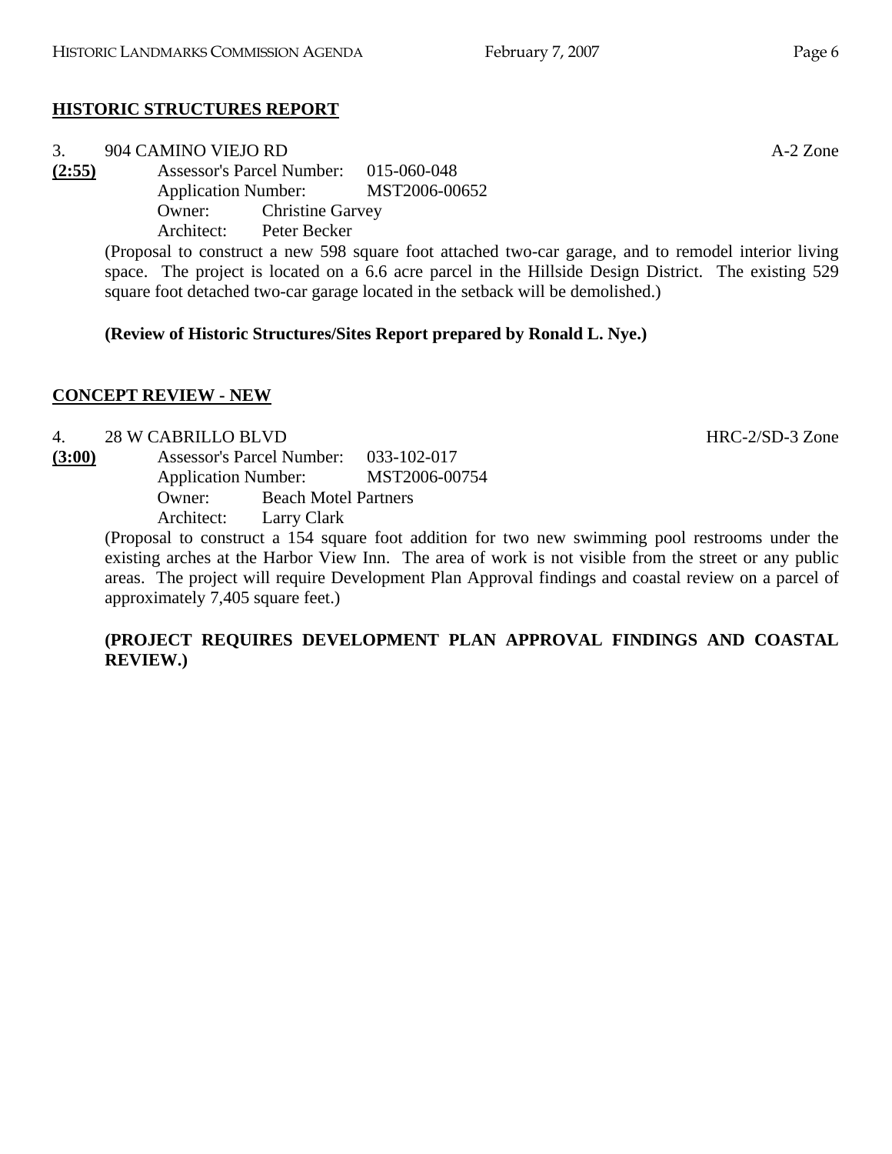# **HISTORIC STRUCTURES REPORT**

#### 3. 904 CAMINO VIEJO RD A-2 Zone **(2:55)** Assessor's Parcel Number: 015-060-048 Application Number: MST2006-00652 Owner: Christine Garvey Architect: Peter Becker

(Proposal to construct a new 598 square foot attached two-car garage, and to remodel interior living space. The project is located on a 6.6 acre parcel in the Hillside Design District. The existing 529 square foot detached two-car garage located in the setback will be demolished.)

# **(Review of Historic Structures/Sites Report prepared by Ronald L. Nye.)**

# **CONCEPT REVIEW - NEW**

# 4. 28 W CABRILLO BLVD HRC-2/SD-3 Zone

**(3:00)** Assessor's Parcel Number: 033-102-017 Application Number: MST2006-00754 Owner: Beach Motel Partners Architect: Larry Clark

(Proposal to construct a 154 square foot addition for two new swimming pool restrooms under the existing arches at the Harbor View Inn. The area of work is not visible from the street or any public areas. The project will require Development Plan Approval findings and coastal review on a parcel of approximately 7,405 square feet.)

## **(PROJECT REQUIRES DEVELOPMENT PLAN APPROVAL FINDINGS AND COASTAL REVIEW.)**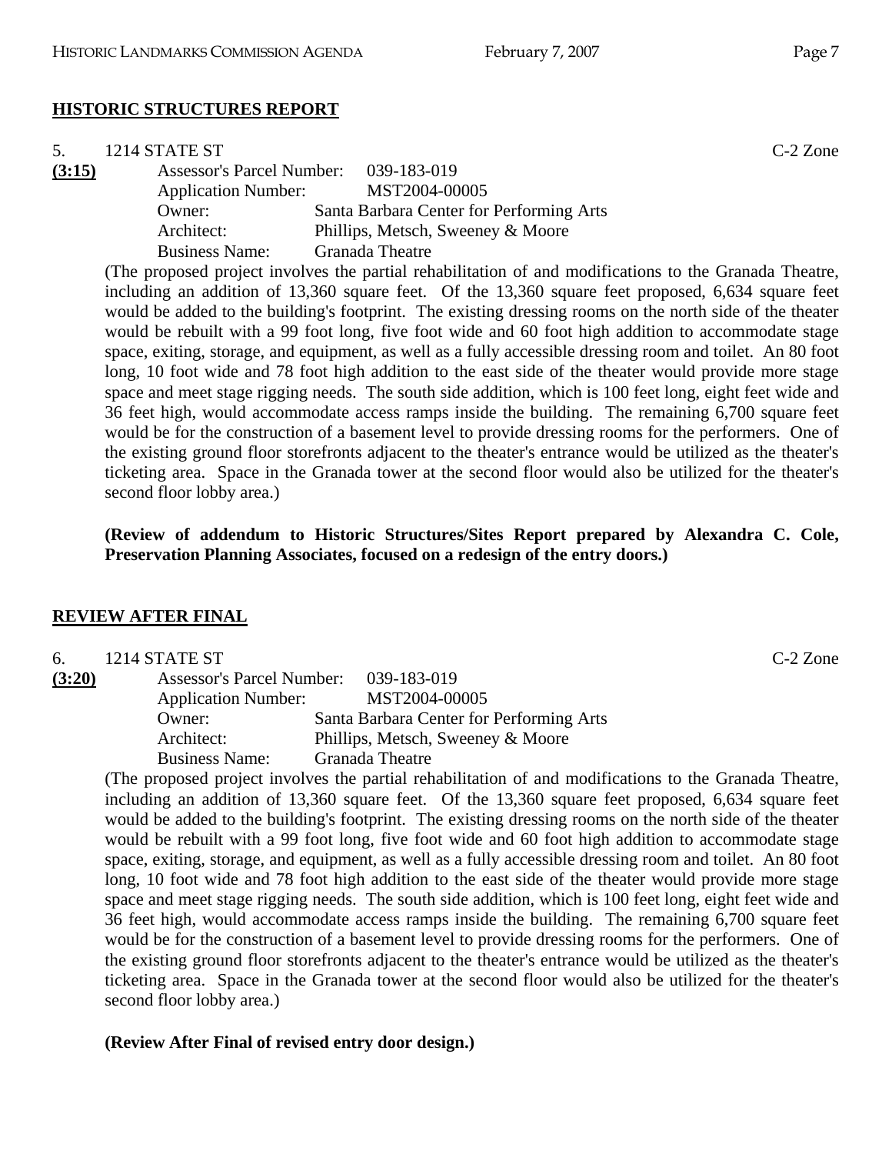## **HISTORIC STRUCTURES REPORT**

| 5.     | 1214 STATE ST                    |                                          | $C-2$ Zone |
|--------|----------------------------------|------------------------------------------|------------|
| (3:15) | <b>Assessor's Parcel Number:</b> | 039-183-019                              |            |
|        | <b>Application Number:</b>       | MST2004-00005                            |            |
|        | Owner:                           | Santa Barbara Center for Performing Arts |            |
|        | Architect:                       | Phillips, Metsch, Sweeney & Moore        |            |
|        | <b>Business Name:</b>            | <b>Granada Theatre</b>                   |            |
|        |                                  |                                          |            |

(The proposed project involves the partial rehabilitation of and modifications to the Granada Theatre, including an addition of 13,360 square feet. Of the 13,360 square feet proposed, 6,634 square feet would be added to the building's footprint. The existing dressing rooms on the north side of the theater would be rebuilt with a 99 foot long, five foot wide and 60 foot high addition to accommodate stage space, exiting, storage, and equipment, as well as a fully accessible dressing room and toilet. An 80 foot long, 10 foot wide and 78 foot high addition to the east side of the theater would provide more stage space and meet stage rigging needs. The south side addition, which is 100 feet long, eight feet wide and 36 feet high, would accommodate access ramps inside the building. The remaining 6,700 square feet would be for the construction of a basement level to provide dressing rooms for the performers. One of the existing ground floor storefronts adjacent to the theater's entrance would be utilized as the theater's ticketing area. Space in the Granada tower at the second floor would also be utilized for the theater's second floor lobby area.)

**(Review of addendum to Historic Structures/Sites Report prepared by Alexandra C. Cole, Preservation Planning Associates, focused on a redesign of the entry doors.)** 

#### **REVIEW AFTER FINAL**

| 6.     | 1214 STATE ST                    |                                          | $C-2$ Zone |
|--------|----------------------------------|------------------------------------------|------------|
| (3:20) | <b>Assessor's Parcel Number:</b> | 039-183-019                              |            |
|        | <b>Application Number:</b>       | MST2004-00005                            |            |
|        | Owner:                           | Santa Barbara Center for Performing Arts |            |
|        | Architect:                       | Phillips, Metsch, Sweeney & Moore        |            |
|        | <b>Business Name:</b>            | Granada Theatre                          |            |

(The proposed project involves the partial rehabilitation of and modifications to the Granada Theatre, including an addition of 13,360 square feet. Of the 13,360 square feet proposed, 6,634 square feet would be added to the building's footprint. The existing dressing rooms on the north side of the theater would be rebuilt with a 99 foot long, five foot wide and 60 foot high addition to accommodate stage space, exiting, storage, and equipment, as well as a fully accessible dressing room and toilet. An 80 foot long, 10 foot wide and 78 foot high addition to the east side of the theater would provide more stage space and meet stage rigging needs. The south side addition, which is 100 feet long, eight feet wide and 36 feet high, would accommodate access ramps inside the building. The remaining 6,700 square feet would be for the construction of a basement level to provide dressing rooms for the performers. One of the existing ground floor storefronts adjacent to the theater's entrance would be utilized as the theater's ticketing area. Space in the Granada tower at the second floor would also be utilized for the theater's second floor lobby area.)

**(Review After Final of revised entry door design.)**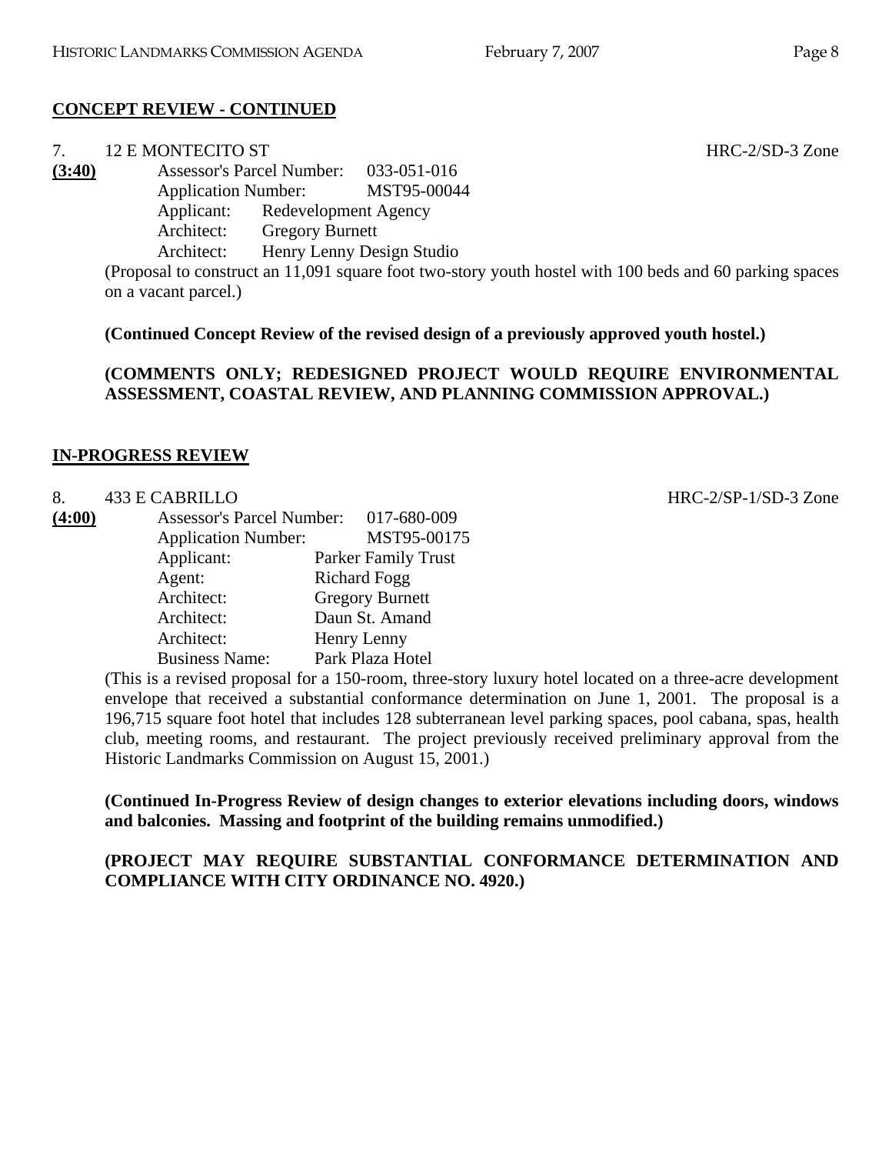# **CONCEPT REVIEW - CONTINUED**

|            |                   | HRC-2/SD-3 Zone                                                                                                                                                    |
|------------|-------------------|--------------------------------------------------------------------------------------------------------------------------------------------------------------------|
|            |                   |                                                                                                                                                                    |
|            |                   |                                                                                                                                                                    |
|            |                   |                                                                                                                                                                    |
| Architect: |                   |                                                                                                                                                                    |
| Architect: |                   |                                                                                                                                                                    |
|            | 12 E MONTECITO ST | Assessor's Parcel Number: 033-051-016<br>Application Number: MST95-00044<br>Applicant: Redevelopment Agency<br><b>Gregory Burnett</b><br>Henry Lenny Design Studio |

(Proposal to construct an 11,091 square foot two-story youth hostel with 100 beds and 60 parking spaces on a vacant parcel.)

**(Continued Concept Review of the revised design of a previously approved youth hostel.)** 

**(COMMENTS ONLY; REDESIGNED PROJECT WOULD REQUIRE ENVIRONMENTAL ASSESSMENT, COASTAL REVIEW, AND PLANNING COMMISSION APPROVAL.)** 

## **IN-PROGRESS REVIEW**

## 8. 433 E CABRILLO **HRC-2/SP-1/SD-3** Zone

| (4:00) | <b>Assessor's Parcel Number:</b> | 017-680-009                |
|--------|----------------------------------|----------------------------|
|        | <b>Application Number:</b>       | MST95-00175                |
|        | Applicant:                       | <b>Parker Family Trust</b> |
|        | Agent:                           | <b>Richard Fogg</b>        |
|        | Architect:                       | <b>Gregory Burnett</b>     |
|        | Architect:                       | Daun St. Amand             |
|        | Architect:                       | Henry Lenny                |
|        | <b>Business Name:</b>            | Park Plaza Hotel           |

(This is a revised proposal for a 150-room, three-story luxury hotel located on a three-acre development envelope that received a substantial conformance determination on June 1, 2001. The proposal is a 196,715 square foot hotel that includes 128 subterranean level parking spaces, pool cabana, spas, health club, meeting rooms, and restaurant. The project previously received preliminary approval from the Historic Landmarks Commission on August 15, 2001.)

**(Continued In-Progress Review of design changes to exterior elevations including doors, windows and balconies. Massing and footprint of the building remains unmodified.)** 

**(PROJECT MAY REQUIRE SUBSTANTIAL CONFORMANCE DETERMINATION AND COMPLIANCE WITH CITY ORDINANCE NO. 4920.)**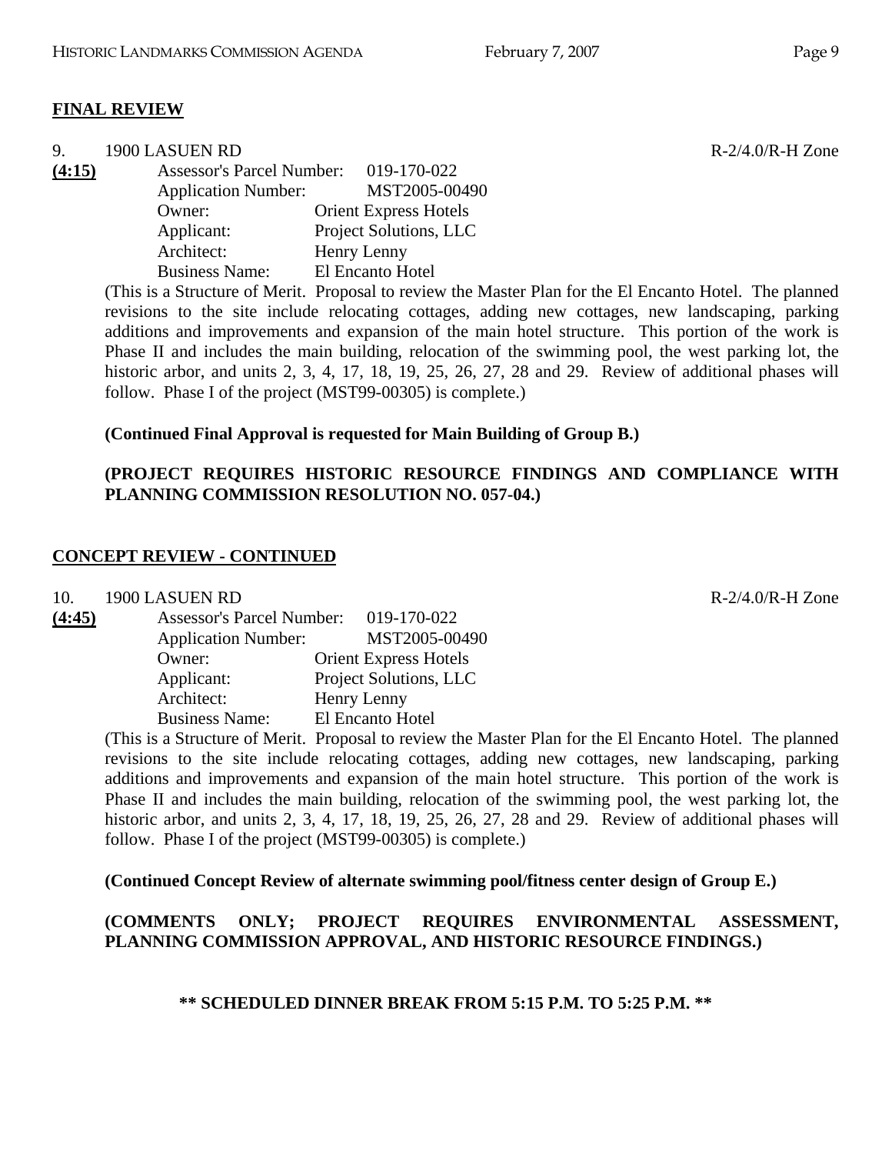## **FINAL REVIEW**

| 9      | 1900 LASUEN RD                   |                              |
|--------|----------------------------------|------------------------------|
| (4:15) | <b>Assessor's Parcel Number:</b> | 019-170-022                  |
|        | <b>Application Number:</b>       | MST2005-00490                |
|        | Owner:                           | <b>Orient Express Hotels</b> |
|        | Applicant:                       | Project Solutions, LLC       |
|        | Architect:                       | Henry Lenny                  |
|        | <b>Business Name:</b>            | El Encanto Hotel             |

(This is a Structure of Merit. Proposal to review the Master Plan for the El Encanto Hotel. The planned revisions to the site include relocating cottages, adding new cottages, new landscaping, parking additions and improvements and expansion of the main hotel structure. This portion of the work is Phase II and includes the main building, relocation of the swimming pool, the west parking lot, the historic arbor, and units 2, 3, 4, 17, 18, 19, 25, 26, 27, 28 and 29. Review of additional phases will follow. Phase I of the project (MST99-00305) is complete.)

#### **(Continued Final Approval is requested for Main Building of Group B.)**

## **(PROJECT REQUIRES HISTORIC RESOURCE FINDINGS AND COMPLIANCE WITH PLANNING COMMISSION RESOLUTION NO. 057-04.)**

#### **CONCEPT REVIEW - CONTINUED**

10. 1900 LASUEN RD R-2/4.0/R-H Zone

| (4:45) | <b>Assessor's Parcel Number:</b> | 019-170-022                  |
|--------|----------------------------------|------------------------------|
|        | <b>Application Number:</b>       | MST2005-00490                |
|        | Owner:                           | <b>Orient Express Hotels</b> |
|        | Applicant:                       | Project Solutions, LLC       |
|        | Architect:                       | Henry Lenny                  |
|        | <b>Business Name:</b>            | El Encanto Hotel             |

(This is a Structure of Merit. Proposal to review the Master Plan for the El Encanto Hotel. The planned revisions to the site include relocating cottages, adding new cottages, new landscaping, parking additions and improvements and expansion of the main hotel structure. This portion of the work is Phase II and includes the main building, relocation of the swimming pool, the west parking lot, the historic arbor, and units 2, 3, 4, 17, 18, 19, 25, 26, 27, 28 and 29. Review of additional phases will follow. Phase I of the project (MST99-00305) is complete.)

**(Continued Concept Review of alternate swimming pool/fitness center design of Group E.)** 

## **(COMMENTS ONLY; PROJECT REQUIRES ENVIRONMENTAL ASSESSMENT, PLANNING COMMISSION APPROVAL, AND HISTORIC RESOURCE FINDINGS.)**

**\*\* SCHEDULED DINNER BREAK FROM 5:15 P.M. TO 5:25 P.M. \*\*** 

 $R - 2/4.0/R$ -H Zone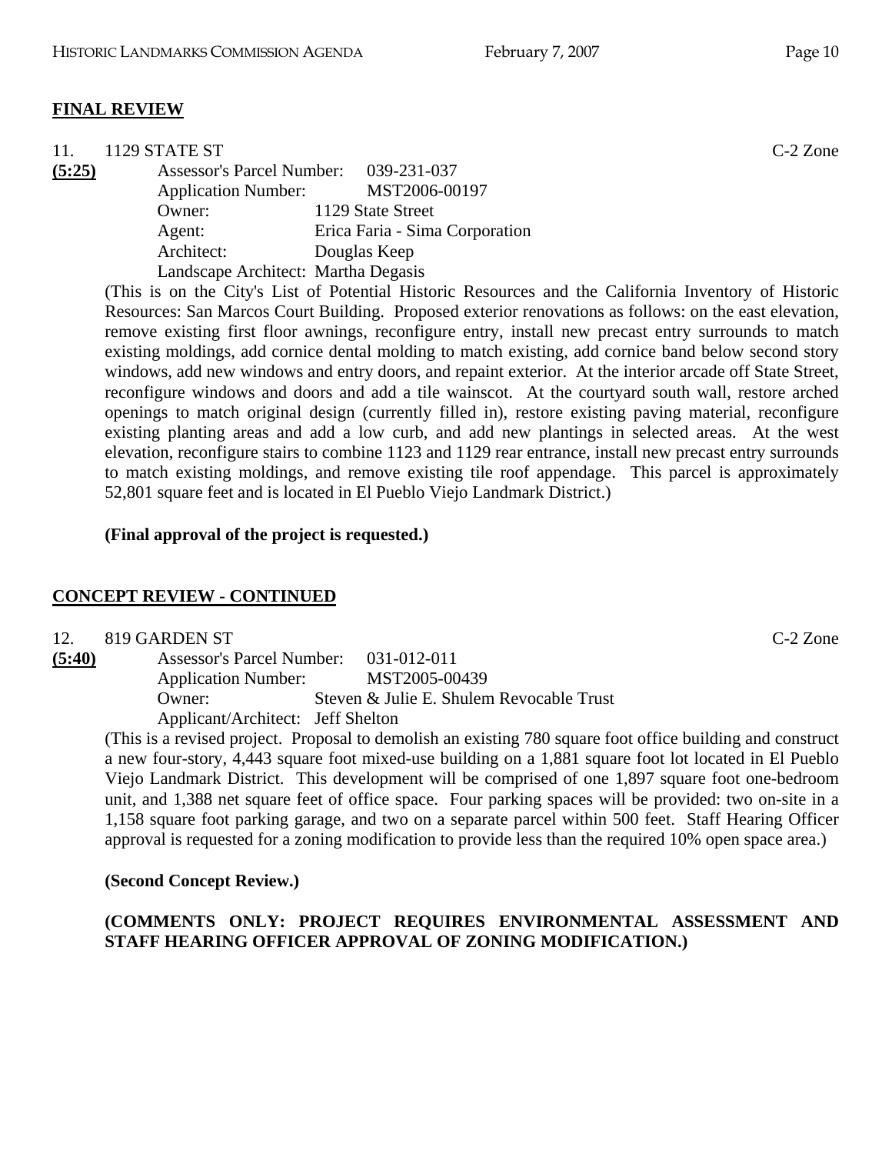## **FINAL REVIEW**

| 11.    | 1129 STATE ST                         |                                | $C-2$ Zone |
|--------|---------------------------------------|--------------------------------|------------|
| (5:25) | Assessor's Parcel Number: 039-231-037 |                                |            |
|        | <b>Application Number:</b>            | MST2006-00197                  |            |
|        | Owner:                                | 1129 State Street              |            |
|        | Agent:                                | Erica Faria - Sima Corporation |            |
|        | Architect:                            | Douglas Keep                   |            |
|        | Landscape Architect: Martha Degasis   |                                |            |

(This is on the City's List of Potential Historic Resources and the California Inventory of Historic Resources: San Marcos Court Building. Proposed exterior renovations as follows: on the east elevation, remove existing first floor awnings, reconfigure entry, install new precast entry surrounds to match existing moldings, add cornice dental molding to match existing, add cornice band below second story windows, add new windows and entry doors, and repaint exterior. At the interior arcade off State Street, reconfigure windows and doors and add a tile wainscot. At the courtyard south wall, restore arched openings to match original design (currently filled in), restore existing paving material, reconfigure existing planting areas and add a low curb, and add new plantings in selected areas. At the west elevation, reconfigure stairs to combine 1123 and 1129 rear entrance, install new precast entry surrounds to match existing moldings, and remove existing tile roof appendage. This parcel is approximately 52,801 square feet and is located in El Pueblo Viejo Landmark District.)

#### **(Final approval of the project is requested.)**

#### **CONCEPT REVIEW - CONTINUED**

| 12.    | 819 GARDEN ST                         |                                          | $C-2$ Zone |
|--------|---------------------------------------|------------------------------------------|------------|
| (5:40) | Assessor's Parcel Number: 031-012-011 |                                          |            |
|        | <b>Application Number:</b>            | MST2005-00439                            |            |
|        | Owner:                                | Steven & Julie E. Shulem Revocable Trust |            |
|        | Applicant/Architect: Jeff Shelton     |                                          |            |

(This is a revised project. Proposal to demolish an existing 780 square foot office building and construct a new four-story, 4,443 square foot mixed-use building on a 1,881 square foot lot located in El Pueblo Viejo Landmark District. This development will be comprised of one 1,897 square foot one-bedroom unit, and 1,388 net square feet of office space. Four parking spaces will be provided: two on-site in a 1,158 square foot parking garage, and two on a separate parcel within 500 feet. Staff Hearing Officer approval is requested for a zoning modification to provide less than the required 10% open space area.)

#### **(Second Concept Review.)**

## **(COMMENTS ONLY: PROJECT REQUIRES ENVIRONMENTAL ASSESSMENT AND STAFF HEARING OFFICER APPROVAL OF ZONING MODIFICATION.)**